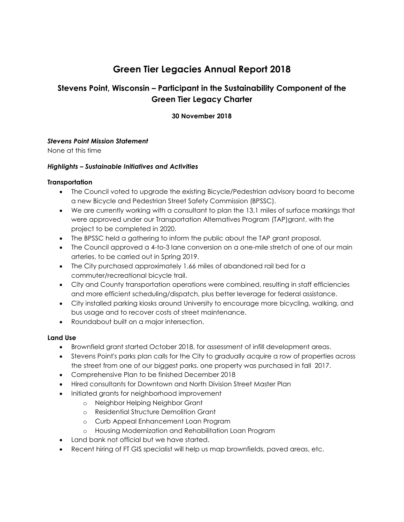# **Green Tier Legacies Annual Report 2018**

# **Stevens Point, Wisconsin – Participant in the Sustainability Component of the Green Tier Legacy Charter**

## **30 November 2018**

#### *Stevens Point Mission Statement*

None at this time

#### *Highlights – Sustainable Initiatives and Activities*

#### **Transportation**

- The Council voted to upgrade the existing Bicycle/Pedestrian advisory board to become a new Bicycle and Pedestrian Street Safety Commission (BPSSC).
- We are currently working with a consultant to plan the 13.1 miles of surface markings that were approved under our Transportation Alternatives Program (TAP)grant, with the project to be completed in 2020.
- The BPSSC held a gathering to inform the public about the TAP grant proposal.
- The Council approved a 4-to-3 lane conversion on a one-mile stretch of one of our main arteries, to be carried out in Spring 2019.
- The City purchased approximately 1.66 miles of abandoned rail bed for a commuter/recreational bicycle trail.
- City and County transportation operations were combined, resulting in staff efficiencies and more efficient scheduling/dispatch, plus better leverage for federal assistance.
- City installed parking kiosks around University to encourage more bicycling, walking, and bus usage and to recover costs of street maintenance.
- Roundabout built on a major intersection.

## **Land Use**

- Brownfield grant started October 2018, for assessment of infill development areas.
- Stevens Point's parks plan calls for the City to gradually acquire a row of properties across the street from one of our biggest parks. one property was purchased in fall 2017.
- Comprehensive Plan to be finished December 2018
- Hired consultants for Downtown and North Division Street Master Plan
- Initiated grants for neighborhood improvement
	- o Neighbor Helping Neighbor Grant
	- o Residential Structure Demolition Grant
	- o Curb Appeal Enhancement Loan Program
	- o Housing Modernization and Rehabilitation Loan Program
- Land bank not official but we have started.
- Recent hiring of FT GIS specialist will help us map brownfields, paved areas, etc.